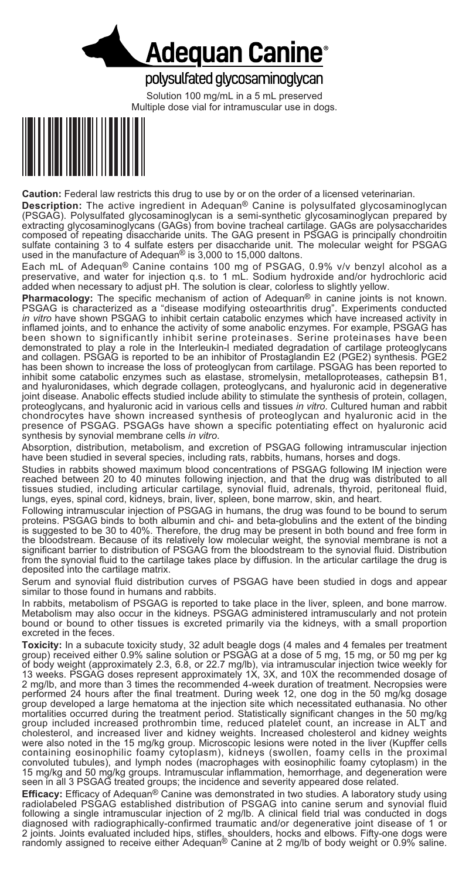

## polysulfated glycosaminoglycan

Solution 100 mg/mL in a 5 mL preserved Multiple dose vial for intramuscular use in dogs.



**Caution:** Federal law restricts this drug to use by or on the order of a licensed veterinarian.

**Description:** The active ingredient in Adequan® Canine is polysulfated glycosaminoglycan (PSGAG). Polysulfated glycosaminoglycan is a semi-synthetic glycosaminoglycan prepared by extracting glycosaminoglycans (GAGs) from bovine tracheal cartilage. GAGs are polysaccharides composed of repeating disaccharide units. The GAG present in PSGAG is principally chondroitin sulfate containing 3 to 4 sulfate esters per disaccharide unit. The molecular weight for PSGAG<br>used in the manufacture of Adequan® is 3,000 to 15,000 daltons.

Each mL of Adequan<sup>®</sup> Canine contains 100 mg of PSGAG, 0.9% v/v benzyl alcohol as a preservative, and water for injection q.s. to 1 mL. Sodium hydroxide and/or hydrochloric acid aded when necessary to adjust pH. The solut

**Pharmacology:** The specific mechanism of action of action of Adequand PSGAG is characterized as a "disease modifying osteoarthritis drug". Experiments conducted in vitro have shown PSGAG to inhibit certain catabolic enzym infiand joints, and to enhance the activity of some anabolic enzymes. For example, PSGAG has been shown to significantly inhibit serine proteinases. Serine proteinases have been demonstrated to play a role in the Interleuk

Absorption, distribution, metabolism, and excretion of PSGAG following intramuscular injection have been studied in several species, including rats, rabbits, humans, horses and dogs.

Studies in rabbits showed maximum blood concentrations of PSGAG following IM injection were reached between 20 to 40 minutes following injection, and that the drug was distributed to all tissues studied, including articular cartilage, synovial fluid, adrenals, thyroid, peritoneal fluid, lungs, eyes, spinal cord, kidneys, brain, liver, spleen, bone marrow, skin, and heart.

Following intramuscular injection of PSGAG in humans, the drug was found to be bound to serum proteins. PSGAG binds to both albumin and chi- and beta-globulins and the extent of the binding is suggested to be 30 to 40%. Therefore, the drug may be present in both bound and free form in the bloodstream. Because of its relatively low molecular weight, the synovial membrane is not a significant barrier to distribution of PSGAG from the bloodstream to the synovial fluid. Distribution from the synovial fluid to the cartilage takes place by diffusion. In the articular cartilage the drug is deposited into the cartilage matrix.

Serum and synovial fluid distribution curves of PSGAG have been studied in dogs and appear similar to those found in humans and rabbits.

In rabbits, metabolism of PSGAG is reported to take place in the liver, spleen, and bone marrow.<br>Metabolism may also occur in the kidneys. PSGAG administered intramuscularly and not protein bound or bound to other tissues is excreted primarily via the kidneys, with a small proportion

excreted in the feces.<br>Toxicity: In a subacute toxicity study, 32 adult beagle dogs (4 males and 4 females per treatment<br>group) received either 0.9% saline solution or PSGAG at a dose of 5 mg, 15 mg, or 50 mg per kg are the original control of body weight (approximately 2.3, 6.8, or 22.7 mg/lb), via intramuscular injection twice weekly for 13 weeks. PSGAG doses represent approximately 1X, 3X, and 10X the recommended dosage of 2 mg/lb, cholesterol, and increased liver and kidney weights. Increased cholesterol and kidney weights were also noted in the 15 mg/kg group. Microscopic lesions were noted in the liver (Kupffer cells containing eosinophilic foamy cytoplasm), kidneys (swollen, foamy cells in the proximal convoluted tubules), and lymph nodes (macrophages with eosinophilic foamy cytoplasm) in the 15 mg/kg and 50 mg/kg groups. Intramuscular inflammation, hemorrhage, and degeneration were seen in all 3 PSGAG treated groups; the incidence and severity appeared dose related.

**Efficacy:** Efficacy of Adequan® Canine was demonstrated in two studies. A laboratory study using<br>radiolabeled PSGAG established distribution of PSGAG into canine serum and synovial fluid<br>following a single intramuscular i diagnosed with radiographically-confirmed traumatic and/or degenerative joint disease of 1 or 2 joints. Joints evaluated included hips, stifles, shoulders, hocks and elbows. Fifty-one dogs were randomly assigned to receive either Adequan® Canine at 2 mg/lb of body weight or 0.9% saline.